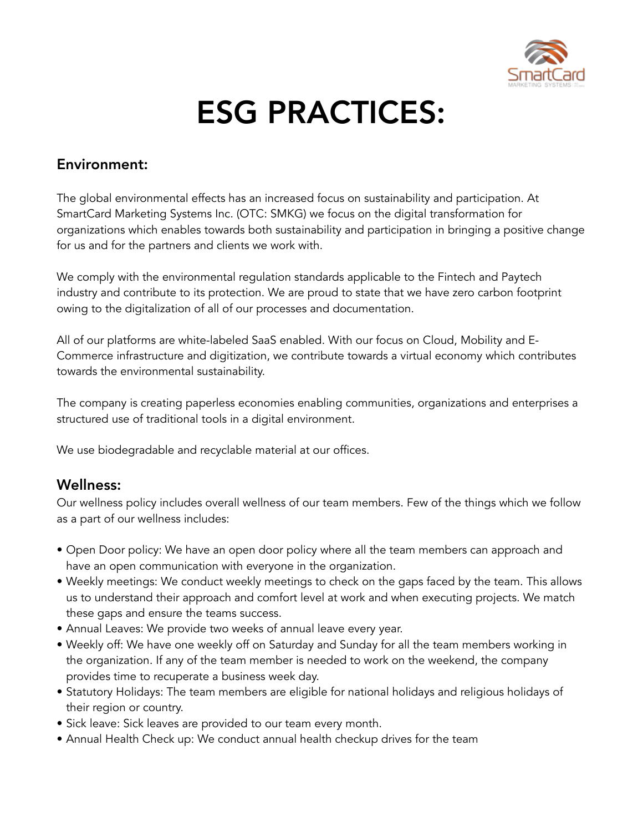

## ESG PRACTICES:

## Environment:

The global environmental effects has an increased focus on sustainability and participation. At SmartCard Marketing Systems Inc. (OTC: SMKG) we focus on the digital transformation for organizations which enables towards both sustainability and participation in bringing a positive change for us and for the partners and clients we work with.

We comply with the environmental regulation standards applicable to the Fintech and Paytech industry and contribute to its protection. We are proud to state that we have zero carbon footprint owing to the digitalization of all of our processes and documentation.

All of our platforms are white-labeled SaaS enabled. With our focus on Cloud, Mobility and E-Commerce infrastructure and digitization, we contribute towards a virtual economy which contributes towards the environmental sustainability.

The company is creating paperless economies enabling communities, organizations and enterprises a structured use of traditional tools in a digital environment.

We use biodegradable and recyclable material at our offices.

## Wellness:

Our wellness policy includes overall wellness of our team members. Few of the things which we follow as a part of our wellness includes:

- Open Door policy: We have an open door policy where all the team members can approach and have an open communication with everyone in the organization.
- Weekly meetings: We conduct weekly meetings to check on the gaps faced by the team. This allows us to understand their approach and comfort level at work and when executing projects. We match these gaps and ensure the teams success.
- Annual Leaves: We provide two weeks of annual leave every year.
- Weekly off: We have one weekly off on Saturday and Sunday for all the team members working in the organization. If any of the team member is needed to work on the weekend, the company provides time to recuperate a business week day.
- Statutory Holidays: The team members are eligible for national holidays and religious holidays of their region or country.
- Sick leave: Sick leaves are provided to our team every month.
- Annual Health Check up: We conduct annual health checkup drives for the team